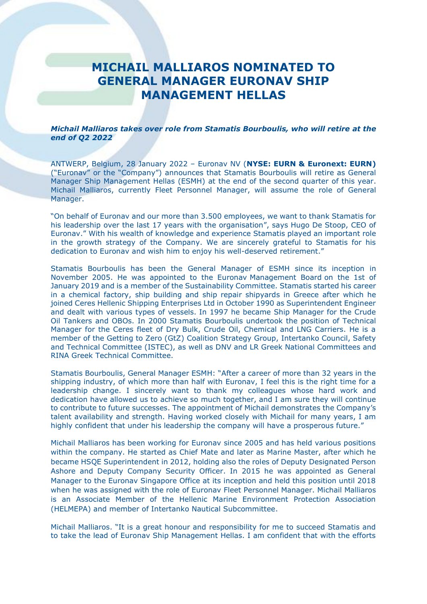## **MICHAIL MALLIAROS NOMINATED TO GENERAL MANAGER EURONAV SHIP MANAGEMENT HELLAS**

## *Michail Malliaros takes over role from Stamatis Bourboulis, who will retire at the end of Q2 2022*

ANTWERP, Belgium, 28 January 2022 – Euronav NV (**NYSE: EURN & Euronext: EURN)** ("Euronav" or the "Company") announces that Stamatis Bourboulis will retire as General Manager Ship Management Hellas (ESMH) at the end of the second quarter of this year. Michail Malliaros, currently Fleet Personnel Manager, will assume the role of General Manager.

"On behalf of Euronav and our more than 3.500 employees, we want to thank Stamatis for his leadership over the last 17 years with the organisation", says Hugo De Stoop, CEO of Euronav." With his wealth of knowledge and experience Stamatis played an important role in the growth strategy of the Company. We are sincerely grateful to Stamatis for his dedication to Euronav and wish him to enjoy his well-deserved retirement."

Stamatis Bourboulis has been the General Manager of ESMH since its inception in November 2005. He was appointed to the Euronav Management Board on the 1st of January 2019 and is a member of the Sustainability Committee. Stamatis started his career in a chemical factory, ship building and ship repair shipyards in Greece after which he joined Ceres Hellenic Shipping Enterprises Ltd in October 1990 as Superintendent Engineer and dealt with various types of vessels. In 1997 he became Ship Manager for the Crude Oil Tankers and OBOs. In 2000 Stamatis Bourboulis undertook the position of Technical Manager for the Ceres fleet of Dry Bulk, Crude Oil, Chemical and LNG Carriers. He is a member of the Getting to Zero (GtZ) Coalition Strategy Group, Intertanko Council, Safety and Technical Committee (ISTEC), as well as DNV and LR Greek National Committees and RINA Greek Technical Committee.

Stamatis Bourboulis, General Manager ESMH: "After a career of more than 32 years in the shipping industry, of which more than half with Euronav, I feel this is the right time for a leadership change. I sincerely want to thank my colleagues whose hard work and dedication have allowed us to achieve so much together, and I am sure they will continue to contribute to future successes. The appointment of Michail demonstrates the Company's talent availability and strength. Having worked closely with Michail for many years, I am highly confident that under his leadership the company will have a prosperous future."

Michail Malliaros has been working for Euronav since 2005 and has held various positions within the company. He started as Chief Mate and later as Marine Master, after which he became HSQE Superintendent in 2012, holding also the roles of Deputy Designated Person Ashore and Deputy Company Security Officer. In 2015 he was appointed as General Manager to the Euronav Singapore Office at its inception and held this position until 2018 when he was assigned with the role of Euronav Fleet Personnel Manager. Michail Malliaros is an Associate Member of the Hellenic Marine Environment Protection Association (HELMEPA) and member of Intertanko Nautical Subcommittee.

Michail Malliaros. "It is a great honour and responsibility for me to succeed Stamatis and to take the lead of Euronav Ship Management Hellas. I am confident that with the efforts